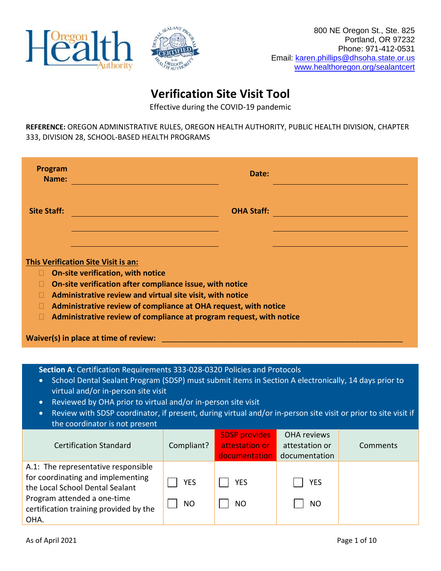



# **Verification Site Visit Tool**

Effective during the COVID-19 pandemic

**REFERENCE:** OREGON ADMINISTRATIVE RULES, OREGON HEALTH AUTHORITY, PUBLIC HEALTH DIVISION, CHAPTER 333, DIVISION 28, SCHOOL-BASED HEALTH PROGRAMS

| Program<br>Name:                                                                                                                                                                                                      | Date:                                                                                                                                  |                                                                                                                |
|-----------------------------------------------------------------------------------------------------------------------------------------------------------------------------------------------------------------------|----------------------------------------------------------------------------------------------------------------------------------------|----------------------------------------------------------------------------------------------------------------|
| <b>Site Staff:</b>                                                                                                                                                                                                    | <b>OHA Staff:</b>                                                                                                                      | a sa mga salawang pangalang ng pangalang ng pangalang ng pangalang ng pangalang ng pangalang ng pangalang ng p |
| This Verification Site Visit is an:<br>On-site verification, with notice<br>H<br>On-site verification after compliance issue, with notice<br>П<br>Administrative review and virtual site visit, with notice<br>П<br>П | Administrative review of compliance at OHA request, with notice<br>Administrative review of compliance at program request, with notice |                                                                                                                |
| <b>Waiver(s) in place at time of review: EXECUTE: EXECUTE: EXECUTE: EXECUTE: EXECUTE: EXECUTE: EXECUTE:</b>                                                                                                           |                                                                                                                                        |                                                                                                                |
|                                                                                                                                                                                                                       | Section A: Certification Requirements 333-028-0320 Policies and Protocols                                                              |                                                                                                                |

- School Dental Sealant Program (SDSP) must submit items in Section A electronically, 14 days prior to virtual and/or in-person site visit
- Reviewed by OHA prior to virtual and/or in-person site visit
- Review with SDSP coordinator, if present, during virtual and/or in-person site visit or prior to site visit if the coordinator is not present

| <b>Certification Standard</b>                                                                                                                                                                | Compliant?              | <b>SDSP</b> provides<br>attestation or<br>documentation | OHA reviews<br>attestation or<br>documentation | Comments |
|----------------------------------------------------------------------------------------------------------------------------------------------------------------------------------------------|-------------------------|---------------------------------------------------------|------------------------------------------------|----------|
| A.1: The representative responsible<br>for coordinating and implementing<br>the Local School Dental Sealant<br>Program attended a one-time<br>certification training provided by the<br>OHA. | <b>YES</b><br><b>NO</b> | <b>YES</b><br><b>NO</b>                                 | <b>YES</b><br>NO                               |          |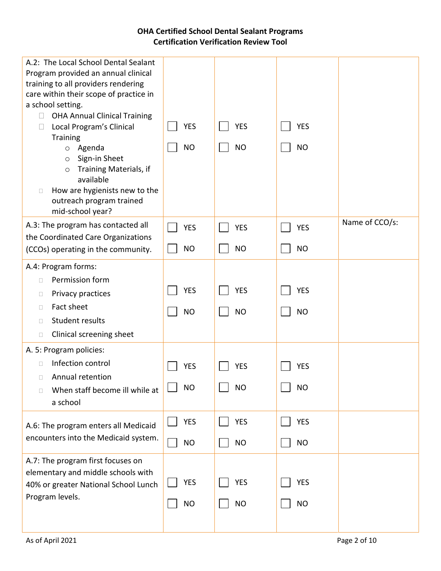| A.2: The Local School Dental Sealant<br>Program provided an annual clinical<br>training to all providers rendering<br>care within their scope of practice in<br>a school setting.<br><b>OHA Annual Clinical Training</b><br>$\Box$<br>Local Program's Clinical<br><b>Training</b><br>Agenda<br>$\circ$<br>Sign-in Sheet<br>$\circ$<br>Training Materials, if<br>$\circ$<br>available<br>How are hygienists new to the<br>$\Box$<br>outreach program trained<br>mid-school year? | <b>YES</b><br><b>NO</b> | <b>YES</b><br><b>NO</b> | <b>YES</b><br><b>NO</b> |                |
|---------------------------------------------------------------------------------------------------------------------------------------------------------------------------------------------------------------------------------------------------------------------------------------------------------------------------------------------------------------------------------------------------------------------------------------------------------------------------------|-------------------------|-------------------------|-------------------------|----------------|
| A.3: The program has contacted all                                                                                                                                                                                                                                                                                                                                                                                                                                              | <b>YES</b>              | <b>YES</b>              | <b>YES</b>              | Name of CCO/s: |
| the Coordinated Care Organizations<br>(CCOs) operating in the community.                                                                                                                                                                                                                                                                                                                                                                                                        | <b>NO</b>               | <b>NO</b>               | <b>NO</b>               |                |
| A.4: Program forms:<br>Permission form<br>$\Box$<br>Privacy practices<br>$\Box$<br>Fact sheet<br>$\Box$<br>Student results<br>$\Box$<br>Clinical screening sheet<br>$\Box$                                                                                                                                                                                                                                                                                                      | <b>YES</b><br><b>NO</b> | <b>YES</b><br><b>NO</b> | <b>YES</b><br><b>NO</b> |                |
| A. 5: Program policies:<br>Infection control<br>$\Box$<br>Annual retention<br>$\Box$<br>When staff become ill while at<br>П<br>a school                                                                                                                                                                                                                                                                                                                                         | <b>YES</b><br><b>NO</b> | <b>YES</b><br><b>NO</b> | <b>YES</b><br><b>NO</b> |                |
| A.6: The program enters all Medicaid<br>encounters into the Medicaid system.                                                                                                                                                                                                                                                                                                                                                                                                    | <b>YES</b><br><b>NO</b> | <b>YES</b><br><b>NO</b> | <b>YES</b><br><b>NO</b> |                |
| A.7: The program first focuses on<br>elementary and middle schools with<br>40% or greater National School Lunch<br>Program levels.                                                                                                                                                                                                                                                                                                                                              | <b>YES</b><br><b>NO</b> | <b>YES</b><br><b>NO</b> | <b>YES</b><br><b>NO</b> |                |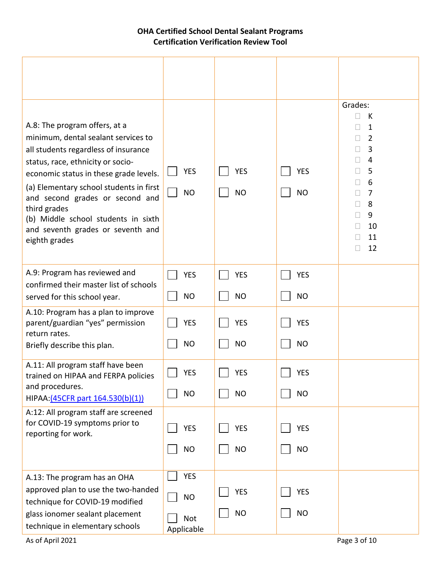| A.8: The program offers, at a<br>minimum, dental sealant services to<br>all students regardless of insurance<br>status, race, ethnicity or socio-<br>economic status in these grade levels.<br>(a) Elementary school students in first<br>and second grades or second and<br>third grades<br>(b) Middle school students in sixth<br>and seventh grades or seventh and<br>eighth grades | <b>YES</b><br><b>NO</b>                      | <b>YES</b><br><b>NO</b> | <b>YES</b><br><b>NO</b> | Grades:<br>П<br>К<br>1<br>$\Box$<br>2<br>$\mathbf{L}$<br>3<br>4<br>5<br>6<br>$\overline{7}$<br>$\mathbf{L}$<br>8<br>$\Box$<br>9<br>П<br>10<br>11<br>П<br>12 |
|----------------------------------------------------------------------------------------------------------------------------------------------------------------------------------------------------------------------------------------------------------------------------------------------------------------------------------------------------------------------------------------|----------------------------------------------|-------------------------|-------------------------|-------------------------------------------------------------------------------------------------------------------------------------------------------------|
| A.9: Program has reviewed and<br>confirmed their master list of schools<br>served for this school year.                                                                                                                                                                                                                                                                                | <b>YES</b><br><b>NO</b>                      | <b>YES</b><br><b>NO</b> | <b>YES</b><br><b>NO</b> |                                                                                                                                                             |
| A.10: Program has a plan to improve<br>parent/guardian "yes" permission<br>return rates.<br>Briefly describe this plan.                                                                                                                                                                                                                                                                | <b>YES</b><br><b>NO</b>                      | <b>YES</b><br><b>NO</b> | <b>YES</b><br><b>NO</b> |                                                                                                                                                             |
| A.11: All program staff have been<br>trained on HIPAA and FERPA policies<br>and procedures.<br>HIPAA: (45CFR part 164.530(b)(1))                                                                                                                                                                                                                                                       | <b>YES</b><br><b>NO</b>                      | <b>YES</b><br><b>NO</b> | <b>YES</b><br><b>NO</b> |                                                                                                                                                             |
| A:12: All program staff are screened<br>for COVID-19 symptoms prior to<br>reporting for work.                                                                                                                                                                                                                                                                                          | <b>YES</b><br><b>NO</b>                      | <b>YES</b><br><b>NO</b> | <b>YES</b><br><b>NO</b> |                                                                                                                                                             |
| A.13: The program has an OHA<br>approved plan to use the two-handed<br>technique for COVID-19 modified<br>glass ionomer sealant placement<br>technique in elementary schools                                                                                                                                                                                                           | <b>YES</b><br><b>NO</b><br>Not<br>Applicable | <b>YES</b><br><b>NO</b> | <b>YES</b><br><b>NO</b> |                                                                                                                                                             |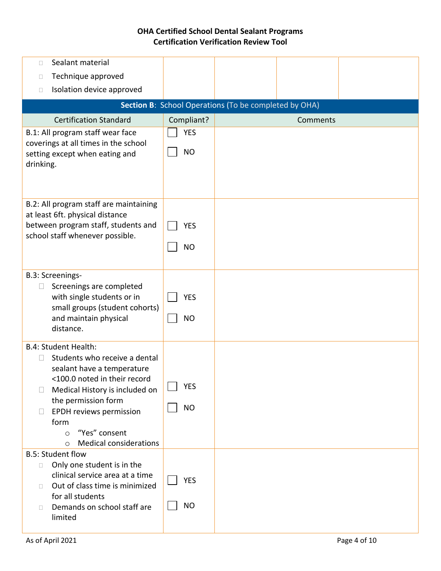| Sealant material<br>П                                                                                                                                                                                                                                                                                              |                         |                                                       |          |  |
|--------------------------------------------------------------------------------------------------------------------------------------------------------------------------------------------------------------------------------------------------------------------------------------------------------------------|-------------------------|-------------------------------------------------------|----------|--|
| Technique approved<br>□                                                                                                                                                                                                                                                                                            |                         |                                                       |          |  |
| Isolation device approved<br>$\Box$                                                                                                                                                                                                                                                                                |                         |                                                       |          |  |
|                                                                                                                                                                                                                                                                                                                    |                         | Section B: School Operations (To be completed by OHA) |          |  |
| <b>Certification Standard</b>                                                                                                                                                                                                                                                                                      | Compliant?              |                                                       | Comments |  |
| B.1: All program staff wear face<br>coverings at all times in the school<br>setting except when eating and<br>drinking.                                                                                                                                                                                            | <b>YES</b><br><b>NO</b> |                                                       |          |  |
|                                                                                                                                                                                                                                                                                                                    |                         |                                                       |          |  |
| B.2: All program staff are maintaining<br>at least 6ft. physical distance<br>between program staff, students and<br>school staff whenever possible.                                                                                                                                                                | <b>YES</b><br><b>NO</b> |                                                       |          |  |
| B.3: Screenings-<br>Screenings are completed<br>$\Box$<br>with single students or in<br>small groups (student cohorts)<br>and maintain physical<br>distance.                                                                                                                                                       | <b>YES</b><br><b>NO</b> |                                                       |          |  |
| <b>B.4: Student Health:</b><br>Students who receive a dental<br>$\Box$<br>sealant have a temperature<br><100.0 noted in their record<br>Medical History is included on<br>$\Box$<br>the permission form<br>EPDH reviews permission<br>form<br>"Yes" consent<br>$\circ$<br><b>Medical considerations</b><br>$\circ$ | <b>YES</b><br><b>NO</b> |                                                       |          |  |
| <b>B.5: Student flow</b><br>Only one student is in the<br>$\Box$<br>clinical service area at a time<br>Out of class time is minimized<br>П<br>for all students<br>Demands on school staff are<br>$\Box$<br>limited                                                                                                 | <b>YES</b><br><b>NO</b> |                                                       |          |  |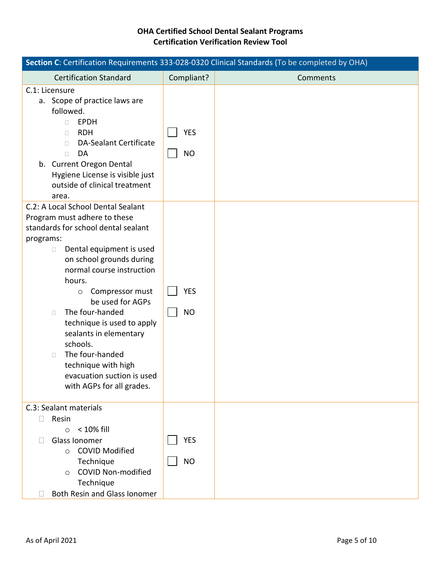| Section C: Certification Requirements 333-028-0320 Clinical Standards (To be completed by OHA)                                                                                                                                                                                                                                                                                                                                                                                                    |                         |          |  |
|---------------------------------------------------------------------------------------------------------------------------------------------------------------------------------------------------------------------------------------------------------------------------------------------------------------------------------------------------------------------------------------------------------------------------------------------------------------------------------------------------|-------------------------|----------|--|
| <b>Certification Standard</b>                                                                                                                                                                                                                                                                                                                                                                                                                                                                     | Compliant?              | Comments |  |
| C.1: Licensure<br>a. Scope of practice laws are<br>followed.<br><b>EPDH</b><br>П.<br><b>RDH</b><br>П<br><b>DA-Sealant Certificate</b><br>□<br>DA<br>$\Box$<br>b. Current Oregon Dental<br>Hygiene License is visible just<br>outside of clinical treatment<br>area.                                                                                                                                                                                                                               | <b>YES</b><br><b>NO</b> |          |  |
| C.2: A Local School Dental Sealant<br>Program must adhere to these<br>standards for school dental sealant<br>programs:<br>Dental equipment is used<br>$\Box$<br>on school grounds during<br>normal course instruction<br>hours.<br>Compressor must<br>$\circ$<br>be used for AGPs<br>The four-handed<br>$\Box$<br>technique is used to apply<br>sealants in elementary<br>schools.<br>The four-handed<br>$\Box$<br>technique with high<br>evacuation suction is used<br>with AGPs for all grades. | <b>YES</b><br><b>NO</b> |          |  |
| C.3: Sealant materials<br>Resin<br>$\mathbf{L}$<br>$< 10\%$ fill<br>$\circ$<br>Glass Ionomer<br>$\Box$<br><b>COVID Modified</b><br>$\Omega$<br>Technique<br><b>COVID Non-modified</b><br>$\bigcirc$<br>Technique<br><b>Both Resin and Glass Ionomer</b>                                                                                                                                                                                                                                           | <b>YES</b><br><b>NO</b> |          |  |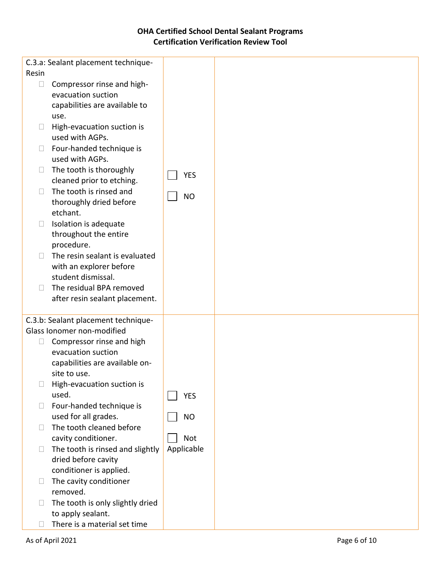|        | C.3.a: Sealant placement technique- |            |  |
|--------|-------------------------------------|------------|--|
| Resin  |                                     |            |  |
| $\Box$ | Compressor rinse and high-          |            |  |
|        | evacuation suction                  |            |  |
|        |                                     |            |  |
|        | capabilities are available to       |            |  |
|        | use.                                |            |  |
| u.     | High-evacuation suction is          |            |  |
|        | used with AGPs.                     |            |  |
| $\Box$ | Four-handed technique is            |            |  |
|        | used with AGPs.                     |            |  |
| $\Box$ | The tooth is thoroughly             |            |  |
|        | cleaned prior to etching.           | <b>YES</b> |  |
|        |                                     |            |  |
| $\Box$ | The tooth is rinsed and             | <b>NO</b>  |  |
|        | thoroughly dried before             |            |  |
|        | etchant.                            |            |  |
| $\Box$ | Isolation is adequate               |            |  |
|        | throughout the entire               |            |  |
|        | procedure.                          |            |  |
| $\Box$ | The resin sealant is evaluated      |            |  |
|        | with an explorer before             |            |  |
|        | student dismissal.                  |            |  |
| П      | The residual BPA removed            |            |  |
|        | after resin sealant placement.      |            |  |
|        |                                     |            |  |
|        | C.3.b: Sealant placement technique- |            |  |
|        | Glass Ionomer non-modified          |            |  |
|        |                                     |            |  |
| $\Box$ | Compressor rinse and high           |            |  |
|        | evacuation suction                  |            |  |
|        | capabilities are available on-      |            |  |
|        | site to use.                        |            |  |
|        | High-evacuation suction is          |            |  |
|        | used.                               | <b>YES</b> |  |
| $\Box$ | Four-handed technique is            |            |  |
|        | used for all grades.                | <b>NO</b>  |  |
| Н      | The tooth cleaned before            |            |  |
|        | cavity conditioner.                 | <b>Not</b> |  |
| $\Box$ | The tooth is rinsed and slightly    | Applicable |  |
|        | dried before cavity                 |            |  |
|        | conditioner is applied.             |            |  |
| $\Box$ | The cavity conditioner              |            |  |
|        |                                     |            |  |
|        | removed.                            |            |  |
| $\Box$ | The tooth is only slightly dried    |            |  |
|        | to apply sealant.                   |            |  |
|        | There is a material set time        |            |  |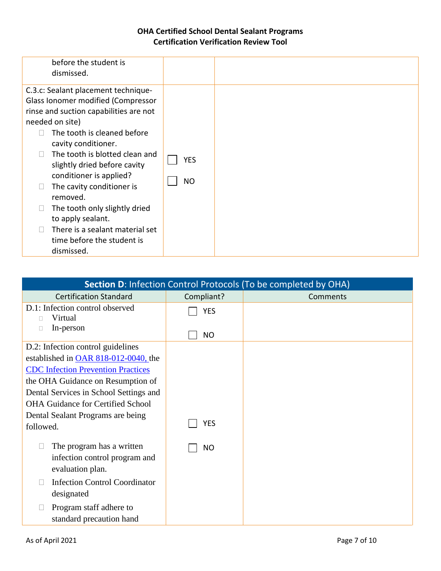| <b>Section D: Infection Control Protocols (To be completed by OHA)</b>                   |            |          |  |  |
|------------------------------------------------------------------------------------------|------------|----------|--|--|
| <b>Certification Standard</b>                                                            | Compliant? | Comments |  |  |
| D.1: Infection control observed<br>Virtual                                               | <b>YES</b> |          |  |  |
| In-person<br>П                                                                           | <b>NO</b>  |          |  |  |
| D.2: Infection control guidelines                                                        |            |          |  |  |
| established in OAR 818-012-0040, the                                                     |            |          |  |  |
| <b>CDC</b> Infection Prevention Practices                                                |            |          |  |  |
| the OHA Guidance on Resumption of                                                        |            |          |  |  |
| Dental Services in School Settings and                                                   |            |          |  |  |
| <b>OHA Guidance for Certified School</b>                                                 |            |          |  |  |
| Dental Sealant Programs are being                                                        |            |          |  |  |
| followed.                                                                                | <b>YES</b> |          |  |  |
| The program has a written<br>$\Box$<br>infection control program and<br>evaluation plan. | <b>NO</b>  |          |  |  |
| <b>Infection Control Coordinator</b><br>П<br>designated                                  |            |          |  |  |
| Program staff adhere to<br>$\Box$<br>standard precaution hand                            |            |          |  |  |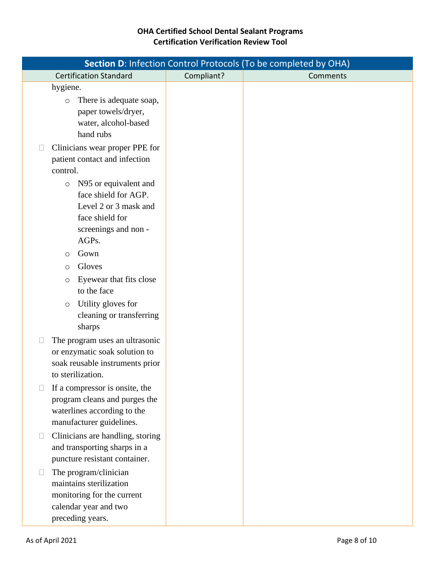|        |                                                                                                                                      |            | Section D: Infection Control Protocols (To be completed by OHA) |
|--------|--------------------------------------------------------------------------------------------------------------------------------------|------------|-----------------------------------------------------------------|
|        | <b>Certification Standard</b>                                                                                                        | Compliant? | Comments                                                        |
|        | hygiene.<br>There is adequate soap,<br>$\circ$<br>paper towels/dryer,<br>water, alcohol-based<br>hand rubs                           |            |                                                                 |
|        | Clinicians wear proper PPE for<br>patient contact and infection<br>control.                                                          |            |                                                                 |
|        | N95 or equivalent and<br>$\circ$<br>face shield for AGP.<br>Level 2 or 3 mask and<br>face shield for<br>screenings and non-<br>AGPs. |            |                                                                 |
|        | Gown<br>$\circ$                                                                                                                      |            |                                                                 |
|        | Gloves<br>$\circ$                                                                                                                    |            |                                                                 |
|        | Eyewear that fits close<br>$\circ$<br>to the face                                                                                    |            |                                                                 |
|        | Utility gloves for<br>$\circ$<br>cleaning or transferring<br>sharps                                                                  |            |                                                                 |
|        | The program uses an ultrasonic<br>or enzymatic soak solution to<br>soak reusable instruments prior<br>to sterilization.              |            |                                                                 |
|        | If a compressor is onsite, the<br>program cleans and purges the<br>waterlines according to the<br>manufacturer guidelines.           |            |                                                                 |
| $\Box$ | Clinicians are handling, storing<br>and transporting sharps in a<br>puncture resistant container.                                    |            |                                                                 |
| $\Box$ | The program/clinician<br>maintains sterilization<br>monitoring for the current<br>calendar year and two<br>preceding years.          |            |                                                                 |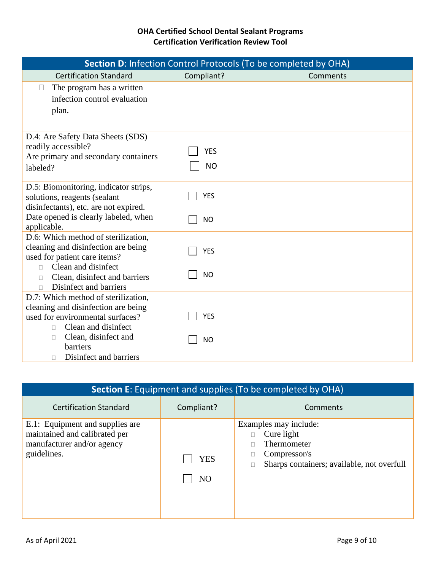| Section D: Infection Control Protocols (To be completed by OHA)                                                                                                                                                  |                         |          |  |  |
|------------------------------------------------------------------------------------------------------------------------------------------------------------------------------------------------------------------|-------------------------|----------|--|--|
| <b>Certification Standard</b>                                                                                                                                                                                    | Compliant?              | Comments |  |  |
| The program has a written<br>infection control evaluation<br>plan.                                                                                                                                               |                         |          |  |  |
| D.4: Are Safety Data Sheets (SDS)<br>readily accessible?<br>Are primary and secondary containers<br>labeled?                                                                                                     | <b>YES</b><br><b>NO</b> |          |  |  |
| D.5: Biomonitoring, indicator strips,<br>solutions, reagents (sealant<br>disinfectants), etc. are not expired.<br>Date opened is clearly labeled, when<br>applicable.                                            | <b>YES</b><br><b>NO</b> |          |  |  |
| D.6: Which method of sterilization,<br>cleaning and disinfection are being<br>used for patient care items?<br>Clean and disinfect<br>$\Box$<br>Clean, disinfect and barriers<br>$\Box$<br>Disinfect and barriers | <b>YES</b><br><b>NO</b> |          |  |  |
| D.7: Which method of sterilization,<br>cleaning and disinfection are being<br>used for environmental surfaces?<br>Clean and disinfect<br>П.<br>Clean, disinfect and<br>П<br>barriers                             | <b>YES</b><br><b>NO</b> |          |  |  |
| Disinfect and barriers<br>п                                                                                                                                                                                      |                         |          |  |  |

| <b>Section E:</b> Equipment and supplies (To be completed by OHA)                                             |                       |                                                                                                                  |  |
|---------------------------------------------------------------------------------------------------------------|-----------------------|------------------------------------------------------------------------------------------------------------------|--|
| <b>Certification Standard</b>                                                                                 | Compliant?            | Comments                                                                                                         |  |
| E.1: Equipment and supplies are<br>maintained and calibrated per<br>manufacturer and/or agency<br>guidelines. | YES<br>N <sub>O</sub> | Examples may include:<br>Cure light<br>Thermometer<br>Compressor/s<br>Sharps containers; available, not overfull |  |